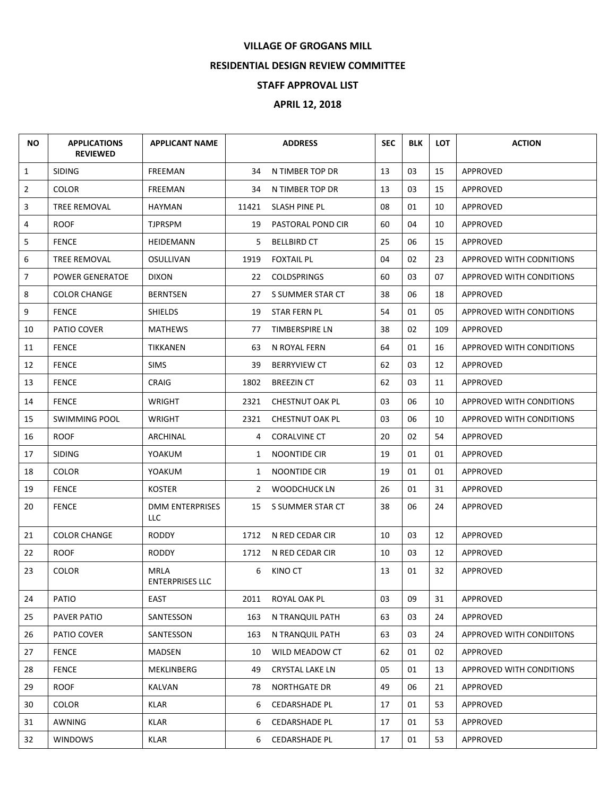## **VILLAGE OF GROGANS MILL**

## **RESIDENTIAL DESIGN REVIEW COMMITTEE**

## **STAFF APPROVAL LIST**

## **APRIL 12, 2018**

| <b>NO</b>      | <b>APPLICATIONS</b><br><b>REVIEWED</b> | <b>APPLICANT NAME</b>                 |       | <b>ADDRESS</b>       | <b>SEC</b> | <b>BLK</b> | <b>LOT</b> | <b>ACTION</b>            |
|----------------|----------------------------------------|---------------------------------------|-------|----------------------|------------|------------|------------|--------------------------|
| $\mathbf{1}$   | <b>SIDING</b>                          | <b>FREEMAN</b>                        | 34    | N TIMBER TOP DR      | 13         | 03         | 15         | APPROVED                 |
| $\overline{2}$ | <b>COLOR</b>                           | FREEMAN                               | 34    | N TIMBER TOP DR      | 13         | 03         | 15         | APPROVED                 |
| 3              | <b>TREE REMOVAL</b>                    | <b>HAYMAN</b>                         | 11421 | SLASH PINE PL        | 08         | 01         | 10         | <b>APPROVED</b>          |
| 4              | <b>ROOF</b>                            | <b>TJPRSPM</b>                        |       | 19 PASTORAL POND CIR | 60         | 04         | 10         | <b>APPROVED</b>          |
| 5              | <b>FENCE</b>                           | HEIDEMANN                             | 5.    | <b>BELLBIRD CT</b>   | 25         | 06         | 15         | APPROVED                 |
| 6              | TREE REMOVAL                           | OSULLIVAN                             | 1919  | <b>FOXTAIL PL</b>    | 04         | 02         | 23         | APPROVED WITH CODNITIONS |
| 7              | POWER GENERATOE                        | <b>DIXON</b>                          | 22    | <b>COLDSPRINGS</b>   | 60         | 03         | 07         | APPROVED WITH CONDITIONS |
| 8              | <b>COLOR CHANGE</b>                    | <b>BERNTSEN</b>                       | 27    | S SUMMER STAR CT     | 38         | 06         | 18         | APPROVED                 |
| 9              | <b>FENCE</b>                           | <b>SHIELDS</b>                        | 19    | STAR FERN PL         | 54         | 01         | 05         | APPROVED WITH CONDITIONS |
| 10             | <b>PATIO COVER</b>                     | <b>MATHEWS</b>                        | 77    | TIMBERSPIRE LN       | 38         | 02         | 109        | <b>APPROVED</b>          |
| 11             | <b>FENCE</b>                           | <b>TIKKANEN</b>                       | 63    | N ROYAL FERN         | 64         | 01         | 16         | APPROVED WITH CONDITIONS |
| 12             | <b>FENCE</b>                           | <b>SIMS</b>                           | 39    | <b>BERRYVIEW CT</b>  | 62         | 03         | 12         | APPROVED                 |
| 13             | FENCE                                  | <b>CRAIG</b>                          | 1802  | <b>BREEZIN CT</b>    | 62         | 03         | 11         | APPROVED                 |
| 14             | <b>FENCE</b>                           | <b>WRIGHT</b>                         | 2321  | CHESTNUT OAK PL      | 03         | 06         | 10         | APPROVED WITH CONDITIONS |
| 15             | <b>SWIMMING POOL</b>                   | <b>WRIGHT</b>                         | 2321  | CHESTNUT OAK PL      | 03         | 06         | 10         | APPROVED WITH CONDITIONS |
| 16             | <b>ROOF</b>                            | ARCHINAL                              | 4     | <b>CORALVINE CT</b>  | 20         | 02         | 54         | APPROVED                 |
| 17             | <b>SIDING</b>                          | YOAKUM                                | 1     | NOONTIDE CIR         | 19         | 01         | 01         | <b>APPROVED</b>          |
| 18             | <b>COLOR</b>                           | YOAKUM                                | 1     | NOONTIDE CIR         | 19         | 01         | 01         | <b>APPROVED</b>          |
| 19             | <b>FENCE</b>                           | <b>KOSTER</b>                         |       | 2 WOODCHUCK LN       | 26         | 01         | 31         | APPROVED                 |
| 20             | <b>FENCE</b>                           | DMM ENTERPRISES<br>LLC                | 15    | S SUMMER STAR CT     | 38         | 06         | 24         | APPROVED                 |
| 21             | <b>COLOR CHANGE</b>                    | <b>RODDY</b>                          | 1712  | N RED CEDAR CIR      | 10         | 03         | 12         | APPROVED                 |
| 22             | <b>ROOF</b>                            | <b>RODDY</b>                          | 1712  | N RED CEDAR CIR      | 10         | 03         | 12         | <b>APPROVED</b>          |
| 23             | <b>COLOR</b>                           | <b>MRLA</b><br><b>ENTERPRISES LLC</b> | 6     | KINO CT              | 13         | 01         | 32         | <b>APPROVED</b>          |
| 24             | PATIO                                  | EAST                                  | 2011  | ROYAL OAK PL         | 03         | 09         | 31         | APPROVED                 |
| 25             | PAVER PATIO                            | SANTESSON                             | 163   | N TRANQUIL PATH      | 63         | 03         | 24         | APPROVED                 |
| 26             | PATIO COVER                            | SANTESSON                             | 163   | N TRANQUIL PATH      | 63         | 03         | 24         | APPROVED WITH CONDIITONS |
| 27             | <b>FENCE</b>                           | MADSEN                                | 10    | WILD MEADOW CT       | 62         | 01         | 02         | APPROVED                 |
| 28             | FENCE                                  | MEKLINBERG                            | 49    | CRYSTAL LAKE LN      | 05         | 01         | 13         | APPROVED WITH CONDITIONS |
| 29             | ROOF                                   | KALVAN                                | 78    | <b>NORTHGATE DR</b>  | 49         | 06         | 21         | APPROVED                 |
| 30             | <b>COLOR</b>                           | KLAR                                  | 6     | CEDARSHADE PL        | 17         | 01         | 53         | APPROVED                 |
| 31             | AWNING                                 | <b>KLAR</b>                           | 6     | <b>CEDARSHADE PL</b> | 17         | 01         | 53         | APPROVED                 |
| 32             | <b>WINDOWS</b>                         | KLAR                                  | 6     | <b>CEDARSHADE PL</b> | 17         | 01         | 53         | APPROVED                 |